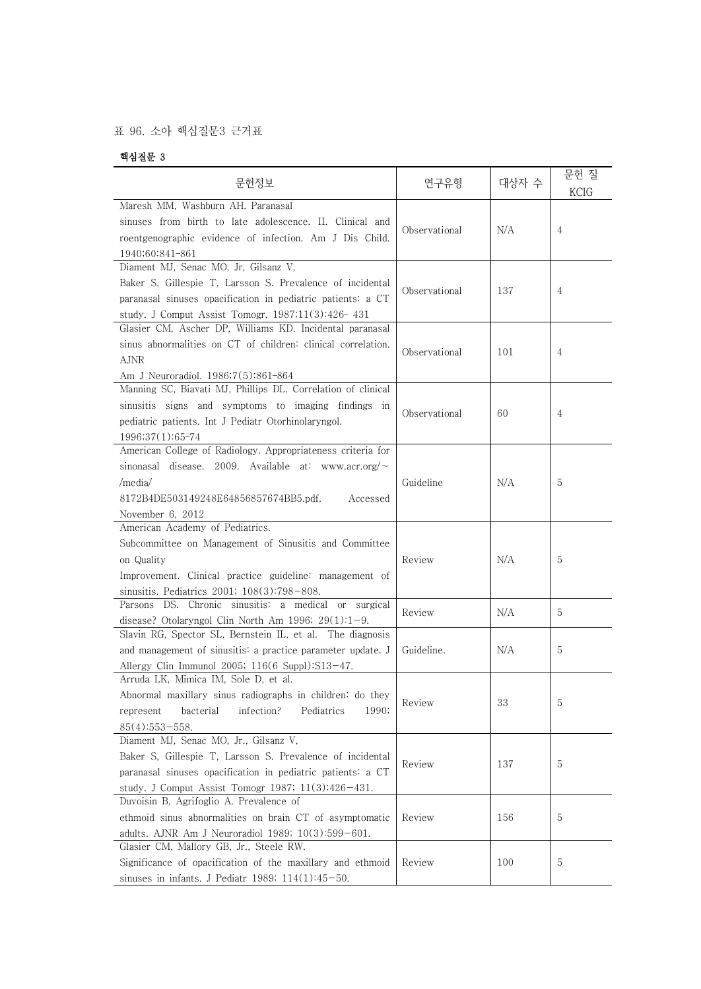## 표 96. 소아 핵심질문3 근거표

## 핵심질문 3

| 문헌정보                                                                                                                                                                                                                       | 연구유형          | 대상자 수 | 문헌 질<br>KCIG |  |
|----------------------------------------------------------------------------------------------------------------------------------------------------------------------------------------------------------------------------|---------------|-------|--------------|--|
| Maresh MM, Washburn AH, Paranasal<br>sinuses from birth to late adolescence. II. Clinical and<br>roentgenographic evidence of infection. Am J Dis Child.<br>1940;60:841-861                                                | Observational | N/A   | 4            |  |
| Diament MJ, Senac MO, Jr, Gilsanz V,<br>Baker S, Gillespie T, Larsson S. Prevalence of incidental<br>paranasal sinuses opacification in pediatric patients: a CT<br>study. J Comput Assist Tomogr. 1987;11(3):426-431      | Observational | 137   | 4            |  |
| Glasier CM, Ascher DP, Williams KD. Incidental paranasal<br>sinus abnormalities on CT of children: clinical correlation.<br><b>AJNR</b><br>Am J Neuroradiol. 1986;7(5):861-864                                             | Observational | 101   | 4            |  |
| Manning SC, Biavati MJ, Phillips DL. Correlation of clinical<br>sinusitis signs and symptoms to imaging findings in<br>pediatric patients. Int J Pediatr Otorhinolaryngol.<br>1996;37(1):65-74                             | Observational | 60    | 4            |  |
| American College of Radiology. Appropriateness criteria for<br>sinonasal disease. 2009. Available at: www.acr.org/ $\sim$<br>/media/<br>8172B4DE503149248E64856857674BB5.pdf.<br>Accessed<br>November 6, 2012              | Guideline     | N/A   | 5            |  |
| American Academy of Pediatrics.<br>Subcommittee on Management of Sinusitis and Committee<br>on Quality<br>Improvement. Clinical practice guideline: management of<br>sinusitis. Pediatrics 2001; 108(3):798-808.           | Review        | N/A   | 5            |  |
| Parsons DS. Chronic sinusitis: a medical or surgical<br>disease? Otolaryngol Clin North Am 1996; $29(1):1-9$ .                                                                                                             | Review        | N/A   | 5            |  |
| Slavin RG, Spector SL, Bernstein IL, et al. The diagnosis<br>and management of sinusitis: a practice parameter update. J<br>Allergy Clin Immunol 2005; $116(6 \text{ Suppl})$ :S13-47.                                     | Guideline.    | N/A   | 5            |  |
| Arruda LK, Mimica IM, Sole D, et al.<br>Abnormal maxillary sinus radiographs in children: do they<br>infection?<br>bacterial<br>Pediatrics<br>1990;<br>represent<br>$85(4):553 - 558.$                                     | Review        | 33    | 5            |  |
| Diament MJ, Senac MO, Jr., Gilsanz V,<br>Baker S, Gillespie T, Larsson S. Prevalence of incidental<br>paranasal sinuses opacification in pediatric patients: a CT<br>study. J Comput Assist Tomogr 1987; $11(3):426-431$ . | Review        | 137   | 5            |  |
| Duvoisin B, Agrifoglio A. Prevalence of<br>ethmoid sinus abnormalities on brain CT of asymptomatic<br>adults. AJNR Am J Neuroradiol 1989; 10(3):599-601.                                                                   | Review        | 156   | 5            |  |
| Glasier CM, Mallory GB, Jr., Steele RW.<br>Significance of opacification of the maxillary and ethmoid<br>sinuses in infants. J Pediatr 1989; $114(1):45-50$ .                                                              | Review        | 100   | 5            |  |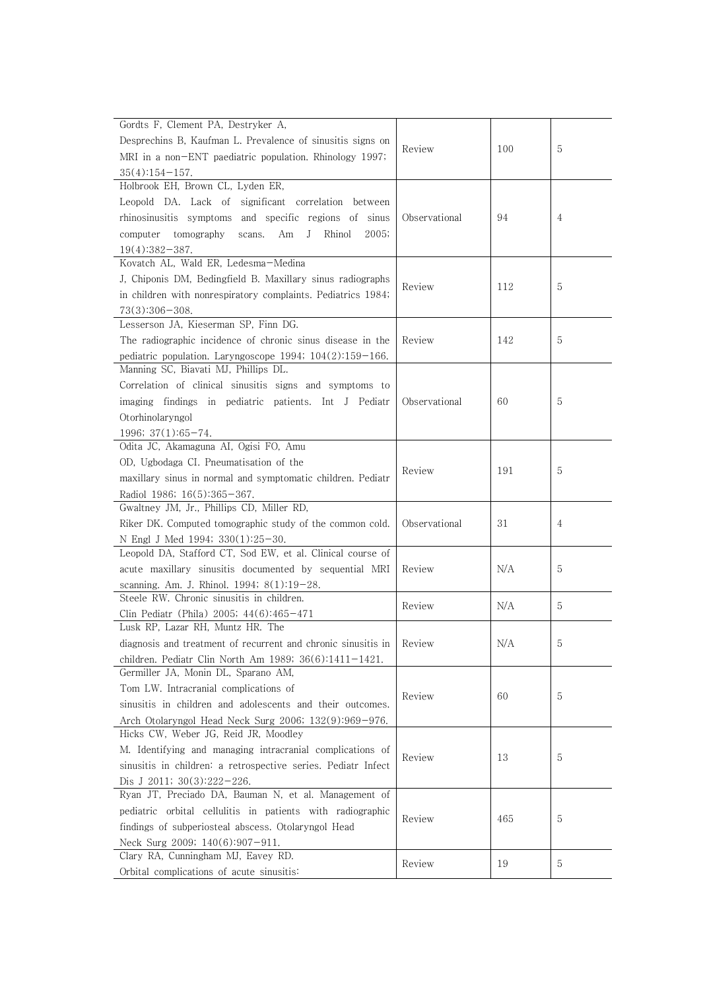| Gordts F, Clement PA, Destryker A,                                           |               |     |   |
|------------------------------------------------------------------------------|---------------|-----|---|
| Desprechins B, Kaufman L. Prevalence of sinusitis signs on                   |               |     |   |
| MRI in a non-ENT paediatric population. Rhinology 1997;                      | Review        | 100 | 5 |
|                                                                              |               |     |   |
| $35(4):154-157.$<br>Holbrook EH, Brown CL, Lyden ER,                         |               |     |   |
|                                                                              |               |     |   |
| Leopold DA. Lack of significant correlation between                          |               |     |   |
| rhinosinusitis symptoms and specific regions of sinus                        | Observational | 94  | 4 |
| computer tomography<br>Rhinol<br>2005;<br>scans.<br>Am<br>J                  |               |     |   |
| $19(4):382-387.$                                                             |               |     |   |
| Kovatch AL, Wald ER, Ledesma-Medina                                          |               |     |   |
| J, Chiponis DM, Bedingfield B. Maxillary sinus radiographs                   | Review        | 112 | 5 |
| in children with nonrespiratory complaints. Pediatrics 1984;                 |               |     |   |
| $73(3):306 - 308.$                                                           |               |     |   |
| Lesserson JA, Kieserman SP, Finn DG.                                         |               |     |   |
| The radiographic incidence of chronic sinus disease in the                   | Review        | 142 | 5 |
| pediatric population. Laryngoscope 1994; 104(2):159-166.                     |               |     |   |
| Manning SC, Biavati MJ, Phillips DL.                                         |               |     |   |
| Correlation of clinical sinusitis signs and symptoms to                      |               |     |   |
| imaging findings in pediatric patients. Int J Pediatr                        | Observational | 60  | 5 |
| Otorhinolaryngol                                                             |               |     |   |
|                                                                              |               |     |   |
| $1996; 37(1):65-74.$<br>Odita JC, Akamaguna AI, Ogisi FO, Amu                |               |     |   |
|                                                                              |               |     |   |
| OD, Ugbodaga CI. Pneumatisation of the                                       | Review        | 191 | 5 |
| maxillary sinus in normal and symptomatic children. Pediatr                  |               |     |   |
| Radiol 1986; 16(5):365-367.                                                  |               |     |   |
| Gwaltney JM, Jr., Phillips CD, Miller RD,                                    |               | 31  | 4 |
| Riker DK. Computed tomographic study of the common cold.                     | Observational |     |   |
| N Engl J Med 1994; 330(1):25-30.                                             |               |     |   |
| Leopold DA, Stafford CT, Sod EW, et al. Clinical course of                   |               |     |   |
| acute maxillary sinusitis documented by sequential MRI                       | Review        | N/A | 5 |
| scanning. Am. J. Rhinol. 1994; 8(1):19-28.                                   |               |     |   |
| Steele RW. Chronic sinusitis in children.                                    | Review        | N/A | 5 |
| Clin Pediatr (Phila) 2005; 44(6):465-471                                     |               |     |   |
| Lusk RP, Lazar RH, Muntz HR. The                                             |               |     |   |
| diagnosis and treatment of recurrent and chronic sinusitis in $\vert$ Review |               | N/A |   |
| children. Pediatr Clin North Am 1989; $36(6)$ :1411-1421.                    |               |     |   |
| Germiller JA, Monin DL, Sparano AM,                                          |               |     |   |
| Tom LW. Intracranial complications of                                        |               |     |   |
| sinusitis in children and adolescents and their outcomes.                    | Review        | 60  | 5 |
| Arch Otolaryngol Head Neck Surg 2006; 132(9):969-976.                        |               |     |   |
| Hicks CW, Weber JG, Reid JR, Moodley                                         |               |     |   |
| M. Identifying and managing intracranial complications of                    |               |     |   |
| sinusitis in children: a retrospective series. Pediatr Infect                | Review        | 13  | 5 |
| Dis J 2011; $30(3):222-226$ .                                                |               |     |   |
| Ryan JT, Preciado DA, Bauman N, et al. Management of                         |               |     |   |
| pediatric orbital cellulitis in patients with radiographic                   |               |     |   |
|                                                                              | Review        | 465 | 5 |
| findings of subperiosteal abscess. Otolaryngol Head                          |               |     |   |
| Neck Surg 2009; $140(6):907-911$ .                                           |               |     |   |
| Clary RA, Cunningham MJ, Eavey RD.                                           | Review        | 19  | 5 |
| Orbital complications of acute sinusitis:                                    |               |     |   |